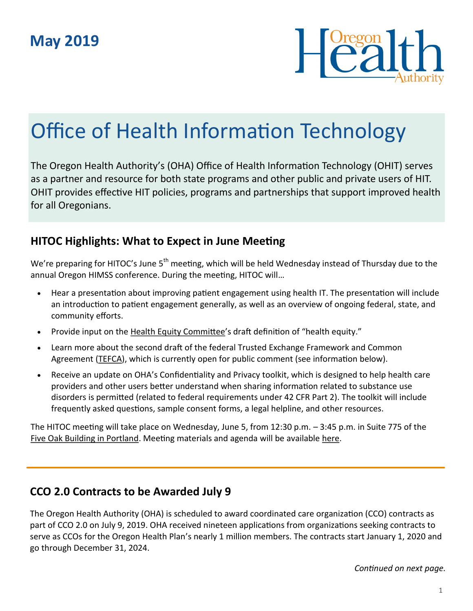

# Office of Health Information Technology

The Oregon Health Authority's (OHA) Office of Health Information Technology (OHIT) serves as a partner and resource for both state programs and other public and private users of HIT. OHIT provides effective HIT policies, programs and partnerships that support improved health for all Oregonians.

### **HITOC Highlights: What to Expect in June Meeting**

We're preparing for HITOC's June 5<sup>th</sup> meeting, which will be held Wednesday instead of Thursday due to the annual Oregon HIMSS conference. During the meeting, HITOC will…

- Hear a presentation about improving patient engagement using health IT. The presentation will include an introduction to patient engagement generally, as well as an overview of ongoing federal, state, and community efforts.
- Provide input on the [Health Equity Committee](https://www.oregon.gov/oha/OEI/Pages/Health-Equity-Committee.aspx)'s draft definition of "health equity."
- Learn more about the second draft of the federal Trusted Exchange Framework and Common Agreement [\(TEFCA\)](https://www.healthit.gov/topic/interoperability/trusted-exchange-framework-and-common-agreement), which is currently open for public comment (see information below).
- Receive an update on OHA's Confidentiality and Privacy toolkit, which is designed to help health care providers and other users better understand when sharing information related to substance use disorders is permitted (related to federal requirements under 42 CFR Part 2). The toolkit will include frequently asked questions, sample consent forms, a legal helpline, and other resources.

The HITOC meeting will take place on Wednesday, June 5, from 12:30 p.m. – 3:45 p.m. in Suite 775 of the [Five Oak Building in Portland.](https://goo.gl/maps/n6KFB2zjhcmChT5L8) Meeting materials and agenda will be available [here.](https://www.oregon.gov/oha/HPA/OHIT-HITOC/Pages/HITOC-Meetings.aspx)

### **CCO 2.0 Contracts to be Awarded July 9**

The Oregon Health Authority (OHA) is scheduled to award coordinated care organization (CCO) contracts as part of CCO 2.0 on July 9, 2019. OHA [received nineteen applications](https://www.oregon.gov/oha/OHPB/Pages/CCO-2-0-Contract-Selection.aspx) from organizations seeking contracts to serve as CCOs for the Oregon Health Plan's nearly 1 million members. The contracts start January 1, 2020 and go through December 31, 2024.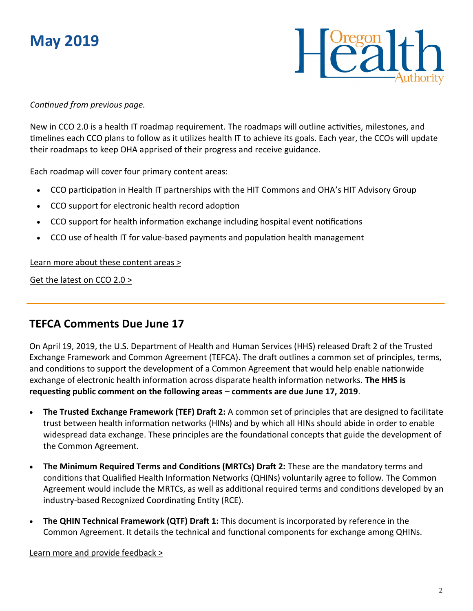# **May 2019**



#### *Continued from previous page.*

New in CCO 2.0 is a health IT roadmap requirement. The roadmaps will outline activities, milestones, and timelines each CCO plans to follow as it utilizes health IT to achieve its goals. Each year, the CCOs will update their roadmaps to keep OHA apprised of their progress and receive guidance.

Each roadmap will cover four primary content areas:

- CCO participation in Health IT partnerships with the HIT Commons and OHA's HIT Advisory Group
- CCO support for electronic health record adoption
- CCO support for health information exchange including hospital event notifications
- CCO use of health IT for value-based payments and population health management

#### [Learn more about these content areas >](https://www.oregon.gov/oha/OHPB/CCODocuments/08-CCO-RFA-4690-0-Attachment-9-HIT-Questionnaire-Final.pdf)

[Get the latest on CCO 2.0 >](https://www.oregon.gov/oha/OHPB/Pages/CCO-2-0.aspx)

#### **TEFCA Comments Due June 17**

On April 19, 2019, the U.S. Department of Health and Human Services (HHS) released Draft 2 of the Trusted Exchange Framework and Common Agreement (TEFCA). The draft outlines a common set of principles, terms, and conditions to support the development of a Common Agreement that would help enable nationwide exchange of electronic health information across disparate health information networks. **The HHS is requesting public comment on the following areas – comments are due June 17, 2019**.

- **The Trusted Exchange Framework (TEF) Draft 2:** A common set of principles that are designed to facilitate trust between health information networks (HINs) and by which all HINs should abide in order to enable widespread data exchange. These principles are the foundational concepts that guide the development of the Common Agreement.
- **The Minimum Required Terms and Conditions (MRTCs) Draft 2:** These are the mandatory terms and conditions that Qualified Health Information Networks (QHINs) voluntarily agree to follow. The Common Agreement would include the MRTCs, as well as additional required terms and conditions developed by an industry-based Recognized Coordinating Entity (RCE).
- **The QHIN Technical Framework (QTF) Draft 1:** This document is incorporated by reference in the Common Agreement. It details the technical and functional components for exchange among QHINs.

[Learn more and provide feedback >](https://www.healthit.gov/topic/interoperability/trusted-exchange-framework-and-common-agreement)